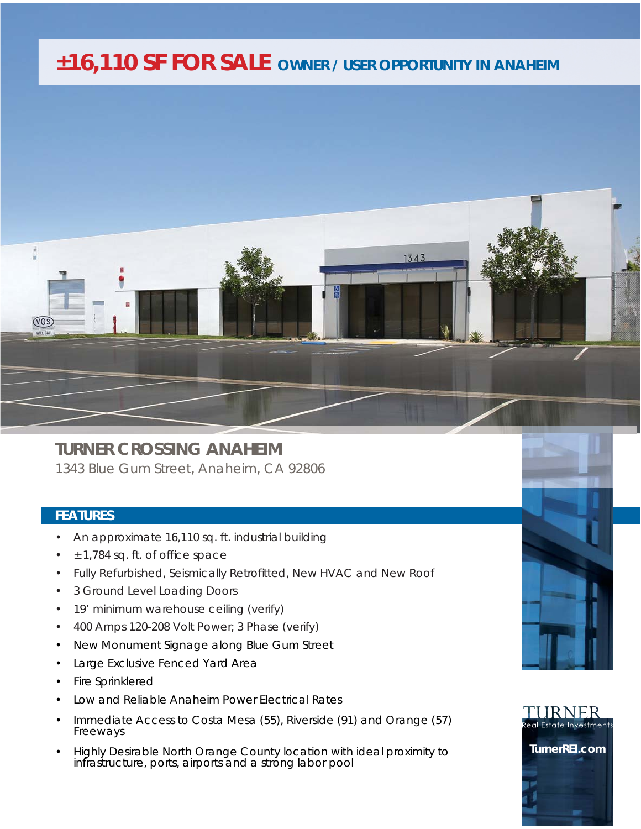## *±16,110 SF FOR SALE OWNER / USER OPPORTUNITY IN ANAHEIM*



## **TURNER CROSSING ANAHEIM**

1343 Blue Gum Street, Anaheim, CA 92806

## **FEATURES**

- An approximate 16,110 sq. ft. industrial building
- $± 1,784$  sq. ft. of office space
- Fully Refurbished, Seismically Retrofitted, New HVAC and New Roof
- 3 Ground Level Loading Doors
- 19' minimum warehouse ceiling (verify)
- 400 Amps 120-208 Volt Power; 3 Phase (verify)
- New Monument Signage along Blue Gum Street
- Large Exclusive Fenced Yard Area
- Fire Sprinklered
- Low and Reliable Anaheim Power Electrical Rates
- Immediate Access to Costa Mesa (55), Riverside (91) and Orange (57) Freeways
- Highly Desirable North Orange County location with ideal proximity to infrastructure, ports, airports and a strong labor pool





**TurnerREI.com**